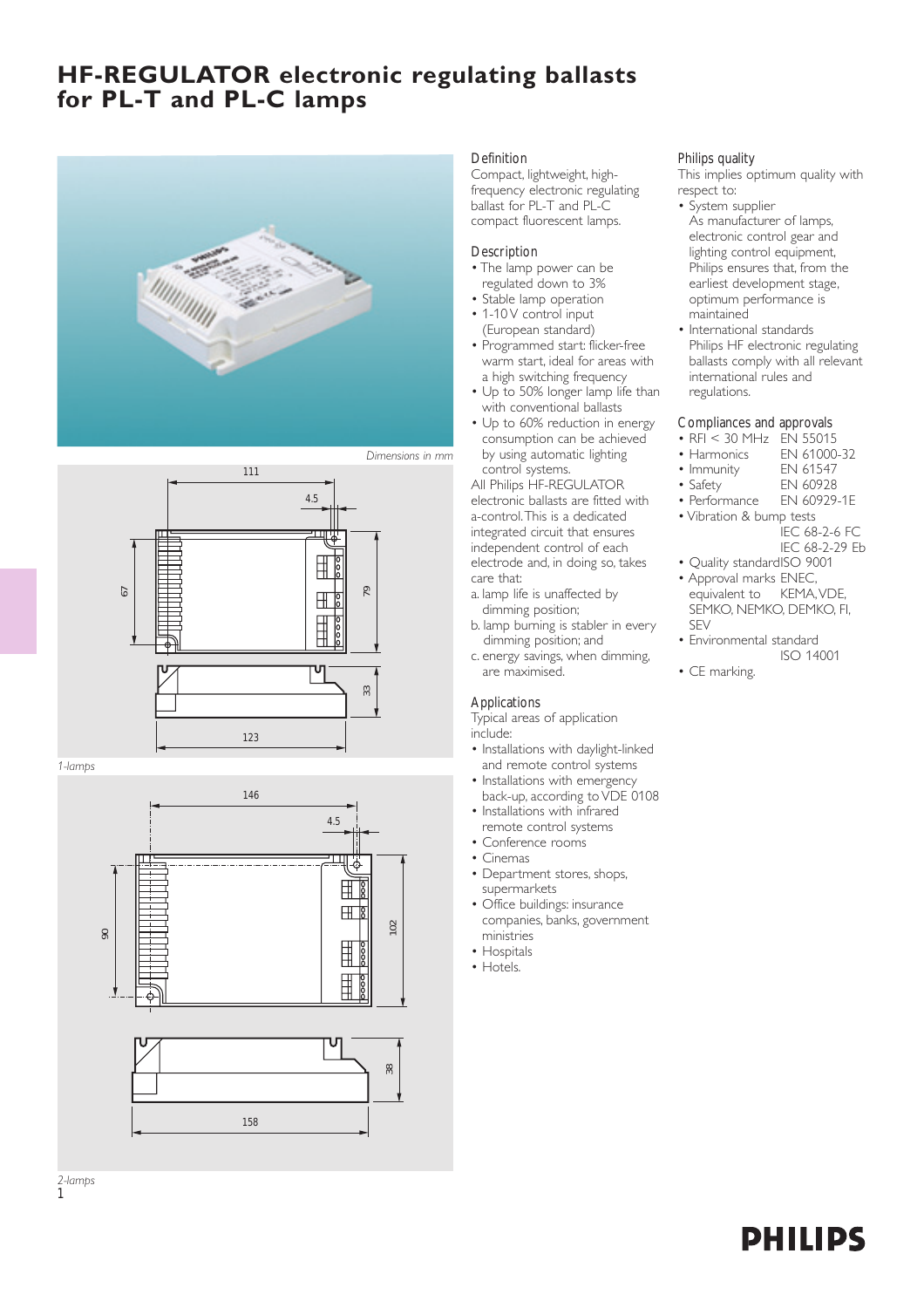## **HF-REGULATOR electronic regulating ballasts for PL-T and PL-C lamps**





*1-lamps*

1



#### **Definition**

Compact, lightweight, highfrequency electronic regulating ballast for PL-T and PL-C compact fluorescent lamps.

#### Description

- The lamp power can be regulated down to 3%
- Stable lamp operation
- 1-10 V control input (European standard)
- Programmed start: flicker-free warm start, ideal for areas with a high switching frequency
- Up to 50% longer lamp life than with conventional ballasts
- Up to 60% reduction in energy consumption can be achieved by using automatic lighting control systems.

All Philips HF-REGULATOR electronic ballasts are fitted with a-control.This is a dedicated integrated circuit that ensures independent control of each electrode and, in doing so, takes care that:

- a. lamp life is unaffected by dimming position;
- b. lamp burning is stabler in every dimming position; and
- c. energy savings, when dimming, are maximised.

### Applications

Typical areas of application include:

- Installations with daylight-linked and remote control systems
- Installations with emergency back-up, according to VDE 0108
- Installations with infrared remote control systems
- Conference rooms
- Cinemas
- Department stores, shops, supermarkets
- Office buildings: insurance companies, banks, government ministries
- Hospitals
- Hotels.

### Philips quality

This implies optimum quality with respect to:

- System supplier As manufacturer of lamps, electronic control gear and lighting control equipment, Philips ensures that, from the earliest development stage, optimum performance is maintained
- International standards Philips HF electronic regulating ballasts comply with all relevant international rules and regulations.

### Compliances and approvals

- RFI < 30 MHz EN 55015<br>• Harmonics EN 61000-32
- Harmonics EN 61000<br>• Immunity EN 61547
- Immunity<br>• Safety
- EN 60928
- Performance EN 60929-1E
- Vibration & bump tests IEC 68-2-6 FC
	- IEC 68-2-29 Eb
- Quality standardISO 9001
- Approval marks ENEC, equivalent to KEMA, VDE. SEMKO, NEMKO, DEMKO, FI, SEV
- Environmental standard ISO 14001
- CE marking.

**PHILIPS**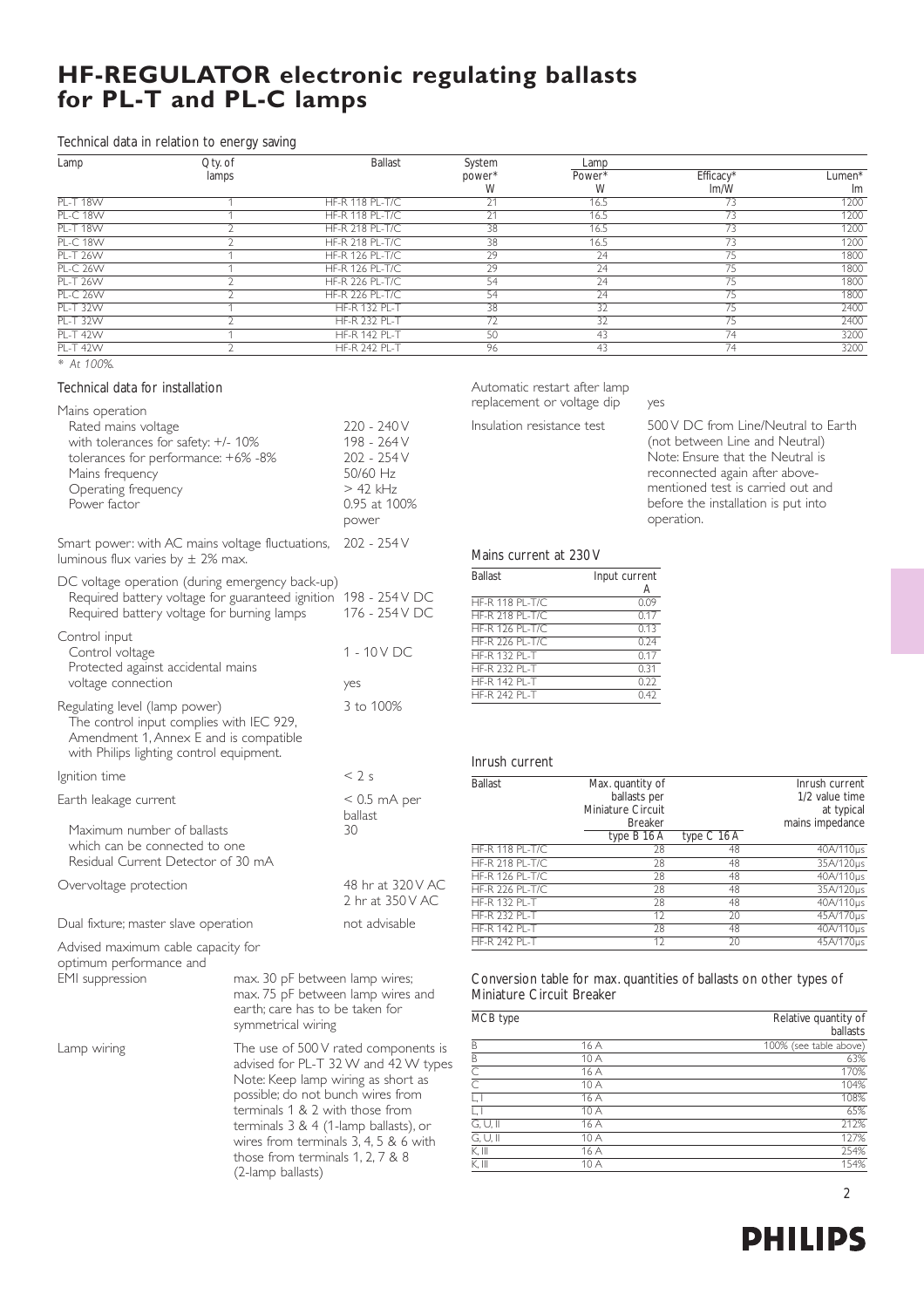# **HF-REGULATOR electronic regulating ballasts for PL-T and PL-C lamps**

### Technical data in relation to energy saving

| Lamp            | $Q$ ty. of | <b>Ballast</b>         | System             | Lamp            |                       |        |
|-----------------|------------|------------------------|--------------------|-----------------|-----------------------|--------|
|                 | lamps      |                        | power <sup>*</sup> | Power*          | Efficacy <sup>*</sup> | Lumen* |
|                 |            |                        | W                  | W               | Im/W                  | Im     |
| <b>PL-T 18W</b> |            | <b>HF-R 118 PL-T/C</b> | 21<br>ZΙ           | 16.5            |                       | 1200   |
| <b>PL-C 18W</b> |            | <b>HF-R 118 PL-T/C</b> | 21                 | 16.5            | 73                    | 1200   |
| <b>PL-T 18W</b> |            | <b>HF-R 218 PL-T/C</b> | 38                 | 16.5            | 73                    | 1200   |
| <b>PL-C 18W</b> |            | <b>HF-R 218 PL-T/C</b> | 38                 | 16.5            | 73                    | 1200   |
| <b>PL-T 26W</b> |            | <b>HF-R 126 PL-T/C</b> | 29                 | 24              | 75                    | 1800   |
| <b>PL-C 26W</b> |            | <b>HF-R 126 PL-T/C</b> | 29                 | 24              | 75                    | 1800   |
| <b>PL-T 26W</b> |            | <b>HF-R 226 PL-T/C</b> | 54                 | 24              | 75                    | 1800   |
| <b>PL-C 26W</b> |            | <b>HF-R 226 PL-T/C</b> | 54                 | 24              | 75                    | 1800   |
| <b>PL-T 32W</b> |            | <b>HF-R 132 PL-T</b>   | 38                 | 32              | 75                    | 2400   |
| <b>PL-T 32W</b> |            | <b>HF-R 232 PL-T</b>   | $\overline{72}$    | $\overline{32}$ | 75                    | 2400   |
| <b>PL-T 42W</b> |            | <b>HF-R 142 PL-T</b>   | 50                 | 43              | 74                    | 3200   |
| <b>PL-T 42W</b> |            | <b>HF-R 242 PL-T</b>   | 96                 | 43              | 74                    | 3200   |

*\* At 100%.*

### Technical data for installation

| Mains operation                                                                                                                                                  |                                                                                                                 |                                                                                              |                                                                                                                          |                                    |                                                                                                                                                                                                                                       |                                           |
|------------------------------------------------------------------------------------------------------------------------------------------------------------------|-----------------------------------------------------------------------------------------------------------------|----------------------------------------------------------------------------------------------|--------------------------------------------------------------------------------------------------------------------------|------------------------------------|---------------------------------------------------------------------------------------------------------------------------------------------------------------------------------------------------------------------------------------|-------------------------------------------|
| Rated mains voltage<br>with tolerances for safety: +/- 10%<br>tolerances for performance: +6% -8%<br>Mains frequency<br>Operating frequency<br>Power factor      |                                                                                                                 | 220 - 240 V<br>198 - 264 V<br>202 - 254 V<br>50/60 Hz<br>$> 42$ kHz<br>0.95 at 100%<br>power | Insulation resistance test                                                                                               |                                    | 500 V DC from Line/Neutral to Earth<br>(not between Line and Neutral)<br>Note: Ensure that the Neutral is<br>reconnected again after above-<br>mentioned test is carried out and<br>before the installation is put into<br>operation. |                                           |
| Smart power: with AC mains voltage fluctuations,<br>luminous flux varies by $\pm$ 2% max.                                                                        |                                                                                                                 | 202 - 254 V                                                                                  | Mains current at 230 V                                                                                                   |                                    |                                                                                                                                                                                                                                       |                                           |
| DC voltage operation (during emergency back-up)<br>Required battery voltage for guaranteed ignition 198 - 254 V DC<br>Required battery voltage for burning lamps |                                                                                                                 | 176 - 254 V DC                                                                               | <b>Ballast</b><br><b>HF-R 118 PL-T/C</b><br><b>HF-R 218 PL-T/C</b>                                                       | Input current<br>Α<br>0.09<br>0.17 |                                                                                                                                                                                                                                       |                                           |
| Control input<br>Control voltage<br>Protected against accidental mains<br>voltage connection                                                                     |                                                                                                                 | 1 - 10 V DC<br>yes                                                                           | <b>HF-R 126 PL-T/C</b><br><b>HF-R 226 PL-T/C</b><br><b>HF-R 132 PL-T</b><br><b>HF-R 232 PL-T</b><br><b>HF-R 142 PL-T</b> | 0.17<br>0.31<br>0.22               | 0.13<br>0.24<br>0.42                                                                                                                                                                                                                  |                                           |
| Regulating level (lamp power)<br>The control input complies with IEC 929,<br>Amendment 1, Annex E and is compatible<br>with Philips lighting control equipment.  |                                                                                                                 | 3 to 100%                                                                                    | <b>HF-R 242 PL-T</b><br>Inrush current                                                                                   |                                    |                                                                                                                                                                                                                                       |                                           |
| Ignition time                                                                                                                                                    |                                                                                                                 | < 2s                                                                                         | <b>Ballast</b>                                                                                                           | Max. quantity of                   |                                                                                                                                                                                                                                       | Inrush current                            |
| Earth leakage current                                                                                                                                            |                                                                                                                 | $< 0.5$ mA per<br>ballast                                                                    |                                                                                                                          | ballasts per<br>Miniature Circuit  |                                                                                                                                                                                                                                       | 1/2 value time<br>at typical              |
| Maximum number of ballasts<br>which can be connected to one<br>Residual Current Detector of 30 mA                                                                |                                                                                                                 | 30                                                                                           | <b>HF-R 118 PL-T/C</b><br><b>HF-R 218 PL-T/C</b>                                                                         | <b>Breaker</b><br>type B 16 A      | type C 16 A<br>28<br>48<br>28<br>48                                                                                                                                                                                                   | mains impedance<br>40A/110µs<br>35A/120µs |
| Overvoltage protection                                                                                                                                           |                                                                                                                 | 48 hr at 320 V AC<br>2 hr at 350 V AC                                                        | <b>HF-R 126 PL-T/C</b><br><b>HF-R 226 PL-T/C</b><br><b>HF-R 132 PL-T</b>                                                 |                                    | 28<br>48<br>28<br>48<br>28<br>48                                                                                                                                                                                                      | 40A/110µs<br>35A/120µs<br>40A/110µs       |
| Dual fixture; master slave operation                                                                                                                             |                                                                                                                 | not advisable                                                                                | <b>HF-R 232 PL-T</b><br><b>HF-R 142 PL-T</b>                                                                             |                                    | 12<br>20<br>28<br>48                                                                                                                                                                                                                  | 45A/170µs<br>40A/110µs                    |
| Advised maximum cable capacity for<br>optimum performance and                                                                                                    |                                                                                                                 |                                                                                              | <b>HF-R 242 PL-T</b>                                                                                                     |                                    | 12<br>$\overline{20}$                                                                                                                                                                                                                 | 45A/170µs                                 |
| EMI suppression<br>max. 30 pF between lamp wires;<br>max. 75 pF between lamp wires and<br>earth; care has to be taken for                                        |                                                                                                                 |                                                                                              | Miniature Circuit Breaker<br>MCB type                                                                                    |                                    | Conversion table for max. quantities of ballasts on other types of                                                                                                                                                                    | Relative quantity of                      |
|                                                                                                                                                                  | symmetrical wiring                                                                                              |                                                                                              |                                                                                                                          |                                    |                                                                                                                                                                                                                                       | ballasts                                  |
| Lamp wiring                                                                                                                                                      |                                                                                                                 | The use of 500 V rated components is                                                         | B                                                                                                                        | 16 A                               |                                                                                                                                                                                                                                       | 100% (see table above)                    |
|                                                                                                                                                                  | advised for PL-T 32 W and 42 W types<br>Note: Keep lamp wiring as short as<br>possible; do not bunch wires from |                                                                                              | $\overline{B}$                                                                                                           | 10A                                |                                                                                                                                                                                                                                       | 63%                                       |
|                                                                                                                                                                  |                                                                                                                 |                                                                                              | $\overline{\text{C}}$                                                                                                    | 16 A                               |                                                                                                                                                                                                                                       | 170%                                      |
|                                                                                                                                                                  |                                                                                                                 |                                                                                              | $\overline{\text{C}}$<br>$\overline{\mathsf{L},\mathsf{L}}$                                                              | 10A                                |                                                                                                                                                                                                                                       | 104%<br>108%                              |
| terminals 1 & 2 with those from                                                                                                                                  |                                                                                                                 |                                                                                              | $\overline{\Box}$                                                                                                        | 16 A<br>10 A                       |                                                                                                                                                                                                                                       | 65%                                       |
|                                                                                                                                                                  |                                                                                                                 |                                                                                              | $\overline{G, U, \parallel}$                                                                                             | 16A                                |                                                                                                                                                                                                                                       | 212%                                      |
|                                                                                                                                                                  | terminals 3 & 4 (1-lamp ballasts), or                                                                           |                                                                                              | $\overline{G, U, \parallel}$                                                                                             | 10A                                |                                                                                                                                                                                                                                       | 127%                                      |
|                                                                                                                                                                  |                                                                                                                 | wires from terminals $3, 4, 5, 8, 6$ with                                                    | K, III                                                                                                                   | 16 A                               |                                                                                                                                                                                                                                       | 254%                                      |
|                                                                                                                                                                  | those from terminals 1, 2, 7 & 8                                                                                |                                                                                              | K, III                                                                                                                   | 10A                                |                                                                                                                                                                                                                                       | 154%                                      |
|                                                                                                                                                                  | (2-lamp ballasts)                                                                                               |                                                                                              |                                                                                                                          |                                    |                                                                                                                                                                                                                                       |                                           |
|                                                                                                                                                                  |                                                                                                                 |                                                                                              |                                                                                                                          |                                    |                                                                                                                                                                                                                                       |                                           |

Automatic restart after lamp replacement or voltage dip ves

| <b>Ballast</b>         | Max. quantity of  |               | Inrush current  |
|------------------------|-------------------|---------------|-----------------|
|                        | ballasts per      |               | 1/2 value time  |
|                        | Miniature Circuit |               | at typical      |
|                        | <b>Breaker</b>    |               | mains impedance |
|                        | type B 16 A       | type $C$ 16 A |                 |
| <b>HF-R 118 PL-T/C</b> | 28                | 48            | 40A/110us       |
| <b>HF-R 218 PL-T/C</b> | 28                | 48            | 35A/120us       |
| <b>HF-R 126 PL-T/C</b> | 28                | 48            | 40A/110us       |
| <b>HF-R 226 PL-T/C</b> | 28                | 48            | 35A/120us       |
| <b>HF-R 132 PL-T</b>   | 28                | 48            | 40A/110us       |
| <b>HF-R 232 PL-T</b>   | 12                | 20            | 45A/170us       |
| <b>HF-R 142 PL-T</b>   | 28                | 48            | 40A/110us       |
| HF-R 242 PI-T          | 12                | 20            | 45A/170us       |

| MCB type                |      | Relative quantity of<br>ballasts |
|-------------------------|------|----------------------------------|
| B                       | 16 A | 100% (see table above)           |
| B                       | 10 A | 63%                              |
| C                       | 16 A | 170%                             |
| $\overline{\mathbb{C}}$ | 10 A | 104%                             |
| L, I                    | 16 A | 108%                             |
| L, I                    | 10 A | 65%                              |
| $G, U, \mathbb{I}$      | 16 A | 212%                             |
| G, U, II                | 10A  | 127%                             |
| K, III                  | 16 A | 254%                             |
| K, III                  | 10 A | 154%                             |

2